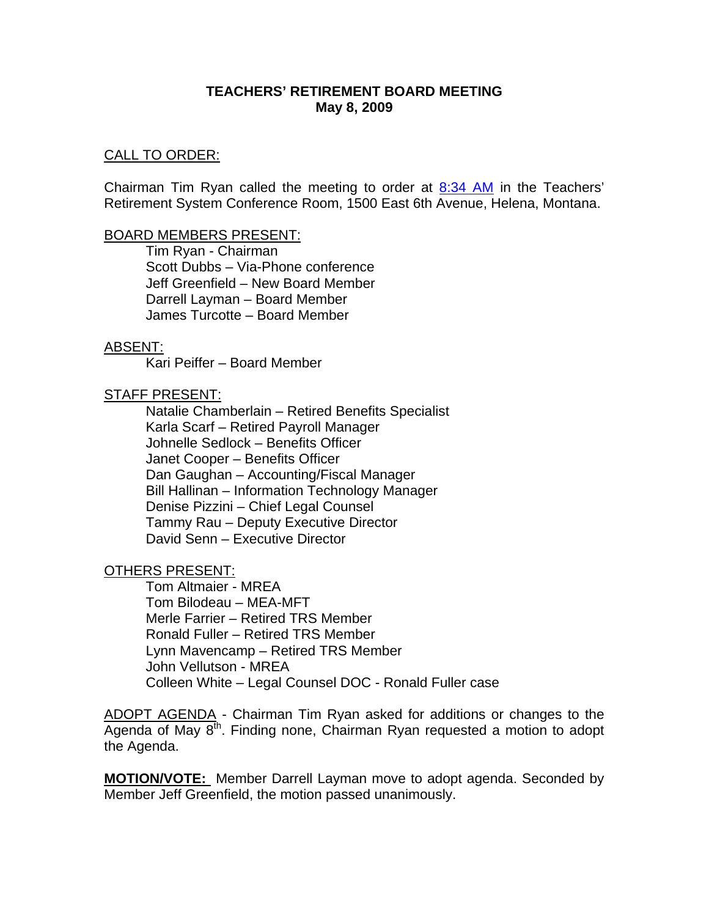#### **TEACHERS' RETIREMENT BOARD MEETING May 8, 2009**

#### CALL TO ORDER:

Chairman Tim Ryan called the meeting to order at  $8:34$  AM in the Teachers' Retirement System Conference Room, 1500 East 6th Avenue, Helena, Montana.

#### BOARD MEMBERS PRESENT:

Tim Ryan - Chairman Scott Dubbs – Via-Phone conference Jeff Greenfield – New Board Member Darrell Layman – Board Member James Turcotte – Board Member

#### ABSENT:

Kari Peiffer – Board Member

#### STAFF PRESENT:

Natalie Chamberlain – Retired Benefits Specialist Karla Scarf – Retired Payroll Manager Johnelle Sedlock – Benefits Officer Janet Cooper – Benefits Officer Dan Gaughan – Accounting/Fiscal Manager Bill Hallinan – Information Technology Manager Denise Pizzini – Chief Legal Counsel Tammy Rau – Deputy Executive Director David Senn – Executive Director

OTHERS PRESENT:

Tom Altmaier - MREA Tom Bilodeau – MEA-MFT Merle Farrier – Retired TRS Member Ronald Fuller – Retired TRS Member Lynn Mavencamp – Retired TRS Member John Vellutson - MREA Colleen White – Legal Counsel DOC - Ronald Fuller case

ADOPT AGENDA - Chairman Tim Ryan asked for additions or changes to the Agenda of May  $8<sup>th</sup>$ . Finding none, Chairman Ryan requested a motion to adopt the Agenda.

**MOTION/VOTE:** Member Darrell Layman move to adopt agenda. Seconded by Member Jeff Greenfield, the motion passed unanimously.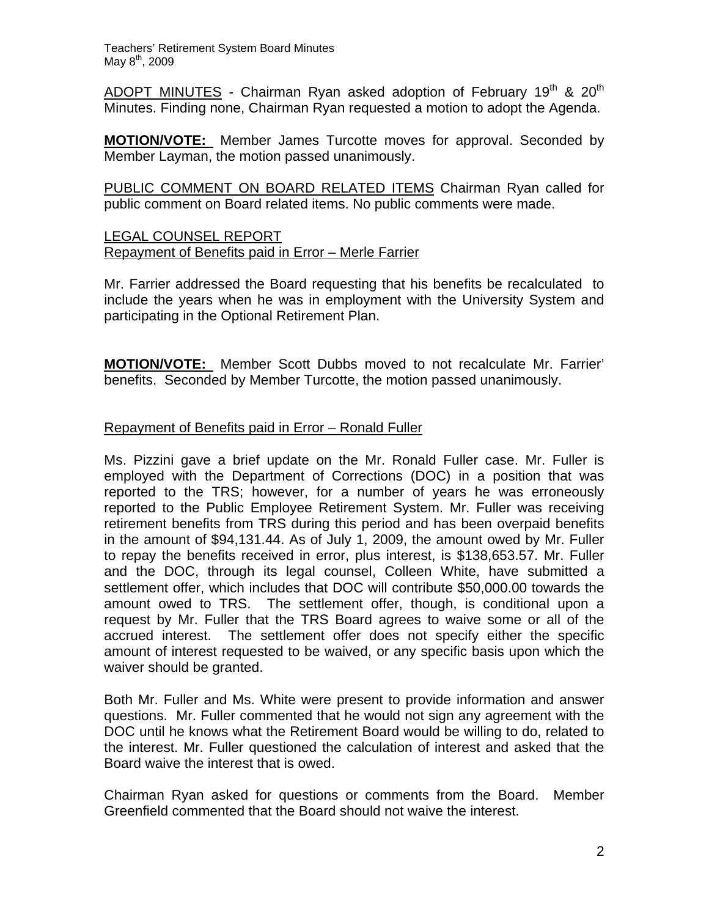Teachers' Retirement System Board Minutes May 8<sup>th</sup>, 2009

ADOPT MINUTES - Chairman Ryan asked adoption of February 19<sup>th</sup> & 20<sup>th</sup> Minutes. Finding none, Chairman Ryan requested a motion to adopt the Agenda.

**MOTION/VOTE:** Member James Turcotte moves for approval. Seconded by Member Layman, the motion passed unanimously.

PUBLIC COMMENT ON BOARD RELATED ITEMS Chairman Ryan called for public comment on Board related items. No public comments were made.

# LEGAL COUNSEL REPORT Repayment of Benefits paid in Error – Merle Farrier

Mr. Farrier addressed the Board requesting that his benefits be recalculated to include the years when he was in employment with the University System and participating in the Optional Retirement Plan.

**MOTION/VOTE:** Member Scott Dubbs moved to not recalculate Mr. Farrier' benefits. Seconded by Member Turcotte, the motion passed unanimously.

# Repayment of Benefits paid in Error – Ronald Fuller

Ms. Pizzini gave a brief update on the Mr. Ronald Fuller case. Mr. Fuller is employed with the Department of Corrections (DOC) in a position that was reported to the TRS; however, for a number of years he was erroneously reported to the Public Employee Retirement System. Mr. Fuller was receiving retirement benefits from TRS during this period and has been overpaid benefits in the amount of \$94,131.44. As of July 1, 2009, the amount owed by Mr. Fuller to repay the benefits received in error, plus interest, is \$138,653.57. Mr. Fuller and the DOC, through its legal counsel, Colleen White, have submitted a settlement offer, which includes that DOC will contribute \$50,000.00 towards the amount owed to TRS. The settlement offer, though, is conditional upon a request by Mr. Fuller that the TRS Board agrees to waive some or all of the accrued interest. The settlement offer does not specify either the specific amount of interest requested to be waived, or any specific basis upon which the waiver should be granted.

Both Mr. Fuller and Ms. White were present to provide information and answer questions. Mr. Fuller commented that he would not sign any agreement with the DOC until he knows what the Retirement Board would be willing to do, related to the interest. Mr. Fuller questioned the calculation of interest and asked that the Board waive the interest that is owed.

Chairman Ryan asked for questions or comments from the Board. Member Greenfield commented that the Board should not waive the interest.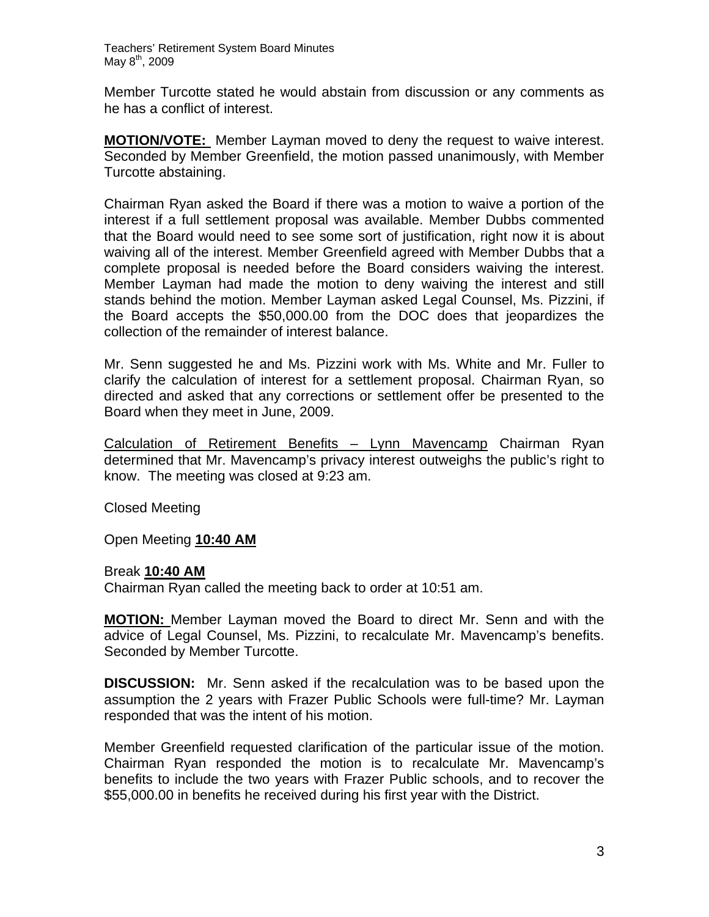Teachers' Retirement System Board Minutes May  $8^{th}$ , 2009

Member Turcotte stated he would abstain from discussion or any comments as he has a conflict of interest.

**MOTION/VOTE:** Member Layman moved to deny the request to waive interest. Seconded by Member Greenfield, the motion passed unanimously, with Member Turcotte abstaining.

Chairman Ryan asked the Board if there was a motion to waive a portion of the interest if a full settlement proposal was available. Member Dubbs commented that the Board would need to see some sort of justification, right now it is about waiving all of the interest. Member Greenfield agreed with Member Dubbs that a complete proposal is needed before the Board considers waiving the interest. Member Layman had made the motion to deny waiving the interest and still stands behind the motion. Member Layman asked Legal Counsel, Ms. Pizzini, if the Board accepts the \$50,000.00 from the DOC does that jeopardizes the collection of the remainder of interest balance.

Mr. Senn suggested he and Ms. Pizzini work with Ms. White and Mr. Fuller to clarify the calculation of interest for a settlement proposal. Chairman Ryan, so directed and asked that any corrections or settlement offer be presented to the Board when they meet in June, 2009.

Calculation of Retirement Benefits – Lynn Mavencamp Chairman Ryan determined that Mr. Mavencamp's privacy interest outweighs the public's right to know. The meeting was closed at 9:23 am.

Closed Meeting

Open Meeting **10:40 AM**

#### Break **10:40 AM**

Chairman Ryan called the meeting back to order at 10:51 am.

**MOTION:** Member Layman moved the Board to direct Mr. Senn and with the advice of Legal Counsel, Ms. Pizzini, to recalculate Mr. Mavencamp's benefits. Seconded by Member Turcotte.

**DISCUSSION:** Mr. Senn asked if the recalculation was to be based upon the assumption the 2 years with Frazer Public Schools were full-time? Mr. Layman responded that was the intent of his motion.

Member Greenfield requested clarification of the particular issue of the motion. Chairman Ryan responded the motion is to recalculate Mr. Mavencamp's benefits to include the two years with Frazer Public schools, and to recover the \$55,000.00 in benefits he received during his first year with the District.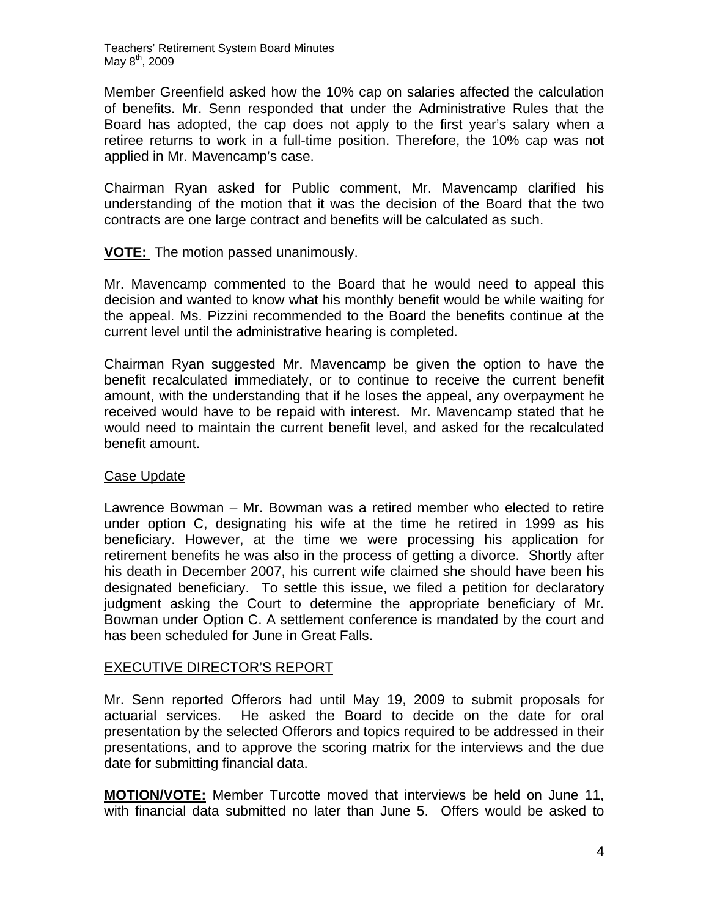Teachers' Retirement System Board Minutes May 8<sup>th</sup>, 2009

Member Greenfield asked how the 10% cap on salaries affected the calculation of benefits. Mr. Senn responded that under the Administrative Rules that the Board has adopted, the cap does not apply to the first year's salary when a retiree returns to work in a full-time position. Therefore, the 10% cap was not applied in Mr. Mavencamp's case.

Chairman Ryan asked for Public comment, Mr. Mavencamp clarified his understanding of the motion that it was the decision of the Board that the two contracts are one large contract and benefits will be calculated as such.

# **VOTE:** The motion passed unanimously.

Mr. Mavencamp commented to the Board that he would need to appeal this decision and wanted to know what his monthly benefit would be while waiting for the appeal. Ms. Pizzini recommended to the Board the benefits continue at the current level until the administrative hearing is completed.

Chairman Ryan suggested Mr. Mavencamp be given the option to have the benefit recalculated immediately, or to continue to receive the current benefit amount, with the understanding that if he loses the appeal, any overpayment he received would have to be repaid with interest. Mr. Mavencamp stated that he would need to maintain the current benefit level, and asked for the recalculated benefit amount.

## Case Update

Lawrence Bowman – Mr. Bowman was a retired member who elected to retire under option C, designating his wife at the time he retired in 1999 as his beneficiary. However, at the time we were processing his application for retirement benefits he was also in the process of getting a divorce. Shortly after his death in December 2007, his current wife claimed she should have been his designated beneficiary. To settle this issue, we filed a petition for declaratory judgment asking the Court to determine the appropriate beneficiary of Mr. Bowman under Option C. A settlement conference is mandated by the court and has been scheduled for June in Great Falls.

## EXECUTIVE DIRECTOR'S REPORT

Mr. Senn reported Offerors had until May 19, 2009 to submit proposals for actuarial services. He asked the Board to decide on the date for oral presentation by the selected Offerors and topics required to be addressed in their presentations, and to approve the scoring matrix for the interviews and the due date for submitting financial data.

**MOTION/VOTE:** Member Turcotte moved that interviews be held on June 11, with financial data submitted no later than June 5. Offers would be asked to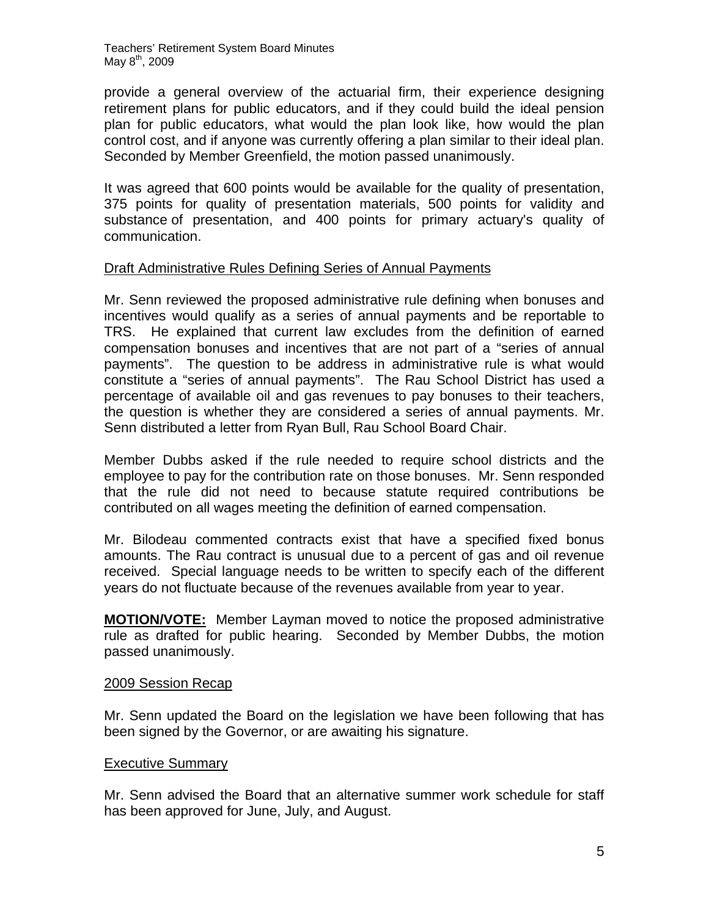Teachers' Retirement System Board Minutes May  $8^{th}$ , 2009

provide a general overview of the actuarial firm, their experience designing retirement plans for public educators, and if they could build the ideal pension plan for public educators, what would the plan look like, how would the plan control cost, and if anyone was currently offering a plan similar to their ideal plan. Seconded by Member Greenfield, the motion passed unanimously.

It was agreed that 600 points would be available for the quality of presentation, 375 points for quality of presentation materials, 500 points for validity and substance of presentation, and 400 points for primary actuary's quality of communication.

## Draft Administrative Rules Defining Series of Annual Payments

Mr. Senn reviewed the proposed administrative rule defining when bonuses and incentives would qualify as a series of annual payments and be reportable to TRS. He explained that current law excludes from the definition of earned compensation bonuses and incentives that are not part of a "series of annual payments". The question to be address in administrative rule is what would constitute a "series of annual payments". The Rau School District has used a percentage of available oil and gas revenues to pay bonuses to their teachers, the question is whether they are considered a series of annual payments. Mr. Senn distributed a letter from Ryan Bull, Rau School Board Chair.

Member Dubbs asked if the rule needed to require school districts and the employee to pay for the contribution rate on those bonuses. Mr. Senn responded that the rule did not need to because statute required contributions be contributed on all wages meeting the definition of earned compensation.

Mr. Bilodeau commented contracts exist that have a specified fixed bonus amounts. The Rau contract is unusual due to a percent of gas and oil revenue received. Special language needs to be written to specify each of the different years do not fluctuate because of the revenues available from year to year.

**MOTION/VOTE:** Member Layman moved to notice the proposed administrative rule as drafted for public hearing. Seconded by Member Dubbs, the motion passed unanimously.

## 2009 Session Recap

Mr. Senn updated the Board on the legislation we have been following that has been signed by the Governor, or are awaiting his signature.

## Executive Summary

Mr. Senn advised the Board that an alternative summer work schedule for staff has been approved for June, July, and August.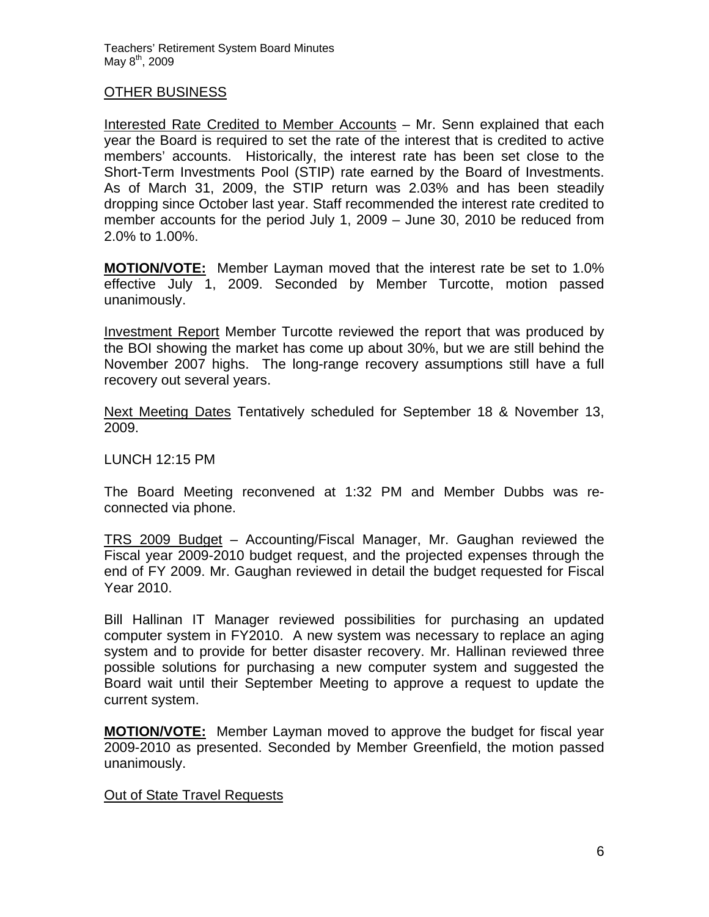## OTHER BUSINESS

Interested Rate Credited to Member Accounts – Mr. Senn explained that each year the Board is required to set the rate of the interest that is credited to active members' accounts. Historically, the interest rate has been set close to the Short-Term Investments Pool (STIP) rate earned by the Board of Investments. As of March 31, 2009, the STIP return was 2.03% and has been steadily dropping since October last year. Staff recommended the interest rate credited to member accounts for the period July 1, 2009 – June 30, 2010 be reduced from 2.0% to 1.00%.

**MOTION/VOTE:** Member Layman moved that the interest rate be set to 1.0% effective July 1, 2009. Seconded by Member Turcotte, motion passed unanimously.

Investment Report Member Turcotte reviewed the report that was produced by the BOI showing the market has come up about 30%, but we are still behind the November 2007 highs. The long-range recovery assumptions still have a full recovery out several years.

Next Meeting Dates Tentatively scheduled for September 18 & November 13, 2009.

LUNCH 12:15 PM

The Board Meeting reconvened at 1:32 PM and Member Dubbs was reconnected via phone.

TRS 2009 Budget – Accounting/Fiscal Manager, Mr. Gaughan reviewed the Fiscal year 2009-2010 budget request, and the projected expenses through the end of FY 2009. Mr. Gaughan reviewed in detail the budget requested for Fiscal Year 2010.

Bill Hallinan IT Manager reviewed possibilities for purchasing an updated computer system in FY2010. A new system was necessary to replace an aging system and to provide for better disaster recovery. Mr. Hallinan reviewed three possible solutions for purchasing a new computer system and suggested the Board wait until their September Meeting to approve a request to update the current system.

**MOTION/VOTE:** Member Layman moved to approve the budget for fiscal year 2009-2010 as presented. Seconded by Member Greenfield, the motion passed unanimously.

## Out of State Travel Requests